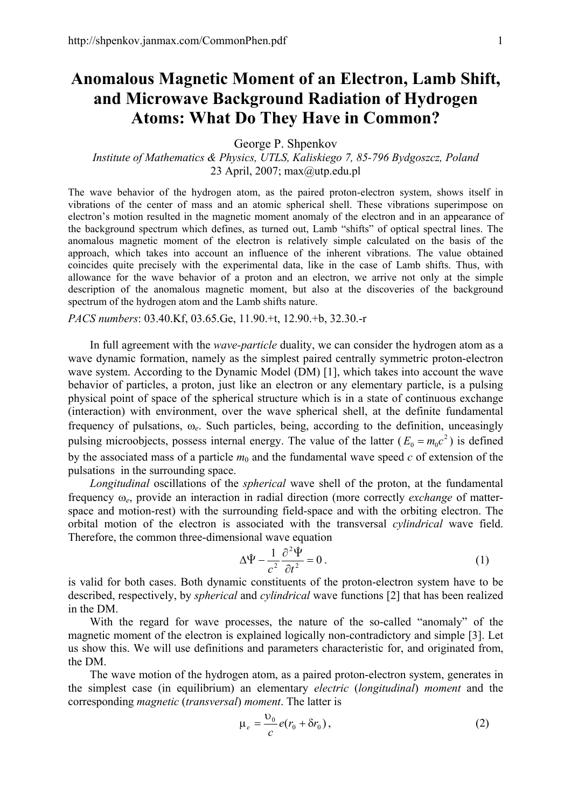## **Anomalous Magnetic Moment of an Electron, Lamb Shift, and Microwave Background Radiation of Hydrogen Atoms: What Do They Have in Common?**

George P. Shpenkov

*Institute of Mathematics & Physics, UTLS, Kaliskiego 7, 85-796 Bydgoszcz, Poland*  23 April, 2007; max@utp.edu.pl

The wave behavior of the hydrogen atom, as the paired proton-electron system, shows itself in vibrations of the center of mass and an atomic spherical shell. These vibrations superimpose on electron's motion resulted in the magnetic moment anomaly of the electron and in an appearance of the background spectrum which defines, as turned out, Lamb "shifts" of optical spectral lines. The anomalous magnetic moment of the electron is relatively simple calculated on the basis of the approach, which takes into account an influence of the inherent vibrations. The value obtained coincides quite precisely with the experimental data, like in the case of Lamb shifts. Thus, with allowance for the wave behavior of a proton and an electron, we arrive not only at the simple description of the anomalous magnetic moment, but also at the discoveries of the background spectrum of the hydrogen atom and the Lamb shifts nature.

*PACS numbers*: 03.40.Kf, 03.65.Ge, 11.90.+t, 12.90.+b, 32.30.-r

In full agreement with the *wave-particle* duality, we can consider the hydrogen atom as a wave dynamic formation, namely as the simplest paired centrally symmetric proton-electron wave system. According to the Dynamic Model (DM) [1], which takes into account the wave behavior of particles, a proton, just like an electron or any elementary particle, is a pulsing physical point of space of the spherical structure which is in a state of continuous exchange (interaction) with environment, over the wave spherical shell, at the definite fundamental frequency of pulsations, ω*e*. Such particles, being, according to the definition, unceasingly pulsing microobjects, possess internal energy. The value of the latter  $(E_0 = m_0 c^2)$  is defined by the associated mass of a particle  $m_0$  and the fundamental wave speed  $c$  of extension of the pulsations in the surrounding space.

*Longitudinal* oscillations of the *spherical* wave shell of the proton, at the fundamental frequency ω*e*, provide an interaction in radial direction (more correctly *exchange* of matterspace and motion-rest) with the surrounding field-space and with the orbiting electron. The orbital motion of the electron is associated with the transversal *cylindrical* wave field. Therefore, the common three-dimensional wave equation

$$
\Delta \hat{\Psi} - \frac{1}{c^2} \frac{\partial^2 \hat{\Psi}}{\partial t^2} = 0.
$$
 (1)

is valid for both cases. Both dynamic constituents of the proton-electron system have to be described, respectively, by *spherical* and *cylindrical* wave functions [2] that has been realized in the DM.

With the regard for wave processes, the nature of the so-called "anomaly" of the magnetic moment of the electron is explained logically non-contradictory and simple [3]. Let us show this. We will use definitions and parameters characteristic for, and originated from, the DM.

The wave motion of the hydrogen atom, as a paired proton-electron system, generates in the simplest case (in equilibrium) an elementary *electric* (*longitudinal*) *moment* and the corresponding *magnetic* (*transversal*) *moment*. The latter is

$$
\mu_e = \frac{v_0}{c} e(r_0 + \delta r_0), \qquad (2)
$$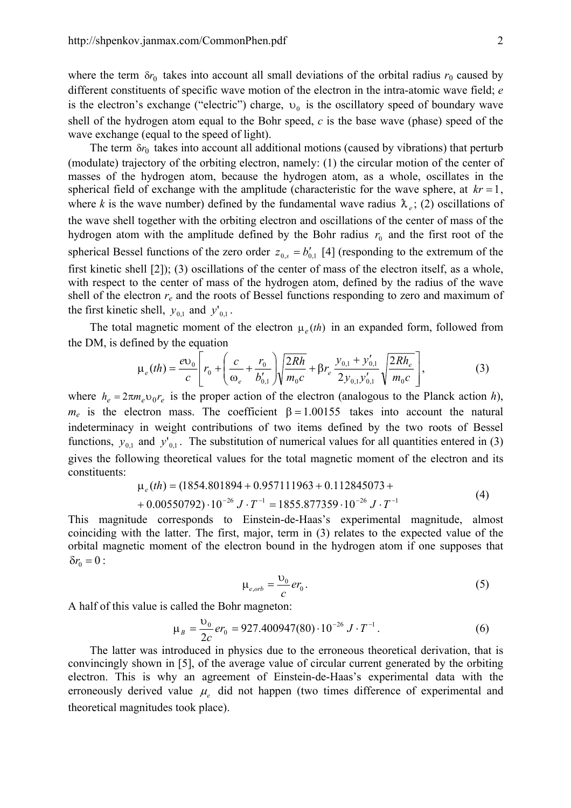where the term  $\delta r_0$  takes into account all small deviations of the orbital radius  $r_0$  caused by different constituents of specific wave motion of the electron in the intra-atomic wave field; *e* is the electron's exchange ("electric") charge,  $v_0$  is the oscillatory speed of boundary wave shell of the hydrogen atom equal to the Bohr speed, *c* is the base wave (phase) speed of the wave exchange (equal to the speed of light).

The term  $\delta r_0$  takes into account all additional motions (caused by vibrations) that perturb (modulate) trajectory of the orbiting electron, namely: (1) the circular motion of the center of masses of the hydrogen atom, because the hydrogen atom, as a whole, oscillates in the spherical field of exchange with the amplitude (characteristic for the wave sphere, at  $kr = 1$ , where *k* is the wave number) defined by the fundamental wave radius  $\lambda_e$ ; (2) oscillations of the wave shell together with the orbiting electron and oscillations of the center of mass of the hydrogen atom with the amplitude defined by the Bohr radius  $r_0$  and the first root of the spherical Bessel functions of the zero order  $z_{0,s} = b'_{0,1}$  [4] (responding to the extremum of the first kinetic shell [2]); (3) oscillations of the center of mass of the electron itself, as a whole, with respect to the center of mass of the hydrogen atom, defined by the radius of the wave shell of the electron *re* and the roots of Bessel functions responding to zero and maximum of the first kinetic shell,  $y_{0,1}$  and  $y'_{0,1}$ .

The total magnetic moment of the electron  $\mu_e(th)$  in an expanded form, followed from the DM, is defined by the equation

$$
\mu_e(th) = \frac{e v_0}{c} \left[ r_0 + \left( \frac{c}{\omega_e} + \frac{r_0}{b'_{0,1}} \right) \sqrt{\frac{2Rh}{m_0 c}} + \beta r_e \frac{y_{0,1} + y'_{0,1}}{2y_{0,1}y'_{0,1}} \sqrt{\frac{2Rh_e}{m_0 c}} \right],
$$
(3)

where  $h_e = 2\pi m_e v_0 r_e$  is the proper action of the electron (analogous to the Planck action *h*),  $m_e$  is the electron mass. The coefficient  $\beta = 1.00155$  takes into account the natural indeterminacy in weight contributions of two items defined by the two roots of Bessel functions,  $y_{0,1}$  and  $y'_{0,1}$ . The substitution of numerical values for all quantities entered in (3) gives the following theoretical values for the total magnetic moment of the electron and its constituents:

$$
\mu_e(th) = (1854.801894 + 0.957111963 + 0.112845073 ++ 0.00550792) \cdot 10^{-26} J \cdot T^{-1} = 1855.877359 \cdot 10^{-26} J \cdot T^{-1}
$$
\n(4)

This magnitude corresponds to Einstein-de-Haas's experimental magnitude, almost coinciding with the latter. The first, major, term in (3) relates to the expected value of the orbital magnetic moment of the electron bound in the hydrogen atom if one supposes that  $δr_0 = 0$ :

$$
\mu_{e,orb} = \frac{U_0}{c} e r_0 \,. \tag{5}
$$

A half of this value is called the Bohr magneton:

$$
\mu_B = \frac{v_0}{2c} er_0 = 927.400947(80) \cdot 10^{-26} J \cdot T^{-1}.
$$
\n(6)

The latter was introduced in physics due to the erroneous theoretical derivation, that is convincingly shown in [5], of the average value of circular current generated by the orbiting electron. This is why an agreement of Einstein-de-Haas's experimental data with the erroneously derived value  $\mu_e$  did not happen (two times difference of experimental and theoretical magnitudes took place).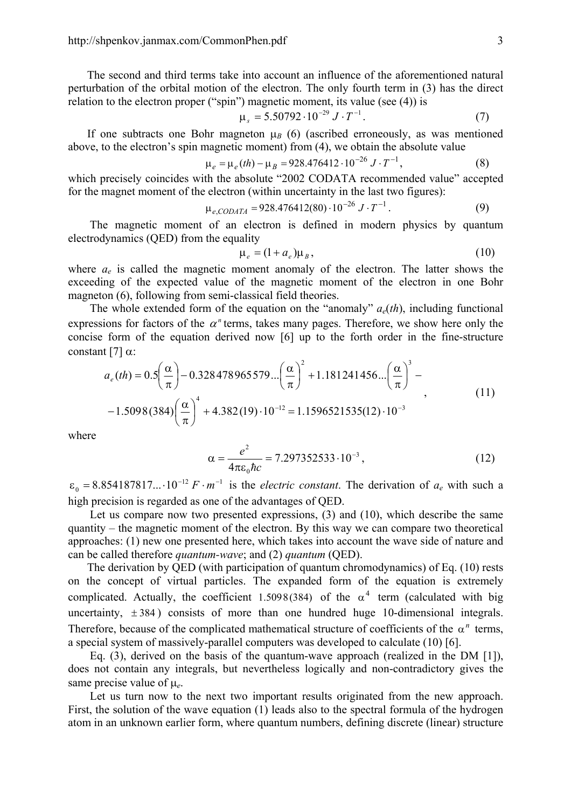The second and third terms take into account an influence of the aforementioned natural perturbation of the orbital motion of the electron. The only fourth term in (3) has the direct relation to the electron proper ("spin") magnetic moment, its value (see (4)) is

$$
\mu_s = 5.50792 \cdot 10^{-29} J \cdot T^{-1}.
$$
 (7)

If one subtracts one Bohr magneton  $\mu$ <sup>B</sup> (6) (ascribed erroneously, as was mentioned above, to the electron's spin magnetic moment) from (4), we obtain the absolute value

$$
\mu_e = \mu_e(th) - \mu_B = 928.476412 \cdot 10^{-26} J \cdot T^{-1},\tag{8}
$$

which precisely coincides with the absolute "2002 CODATA recommended value" accepted for the magnet moment of the electron (within uncertainty in the last two figures):

$$
\mu_{e, CODATA} = 928.476412(80) \cdot 10^{-26} J \cdot T^{-1}.
$$
 (9)

The magnetic moment of an electron is defined in modern physics by quantum electrodynamics (QED) from the equality

$$
\mu_e = (1 + a_e)\mu_B, \qquad (10)
$$

where *a<sub>e</sub>* is called the magnetic moment anomaly of the electron. The latter shows the exceeding of the expected value of the magnetic moment of the electron in one Bohr magneton (6), following from semi-classical field theories.

The whole extended form of the equation on the "anomaly"  $a_e(th)$ , including functional expressions for factors of the  $\alpha$ <sup>*n*</sup> terms, takes many pages. Therefore, we show here only the concise form of the equation derived now [6] up to the forth order in the fine-structure constant  $[7]$   $\alpha$ :

$$
a_e(th) = 0.5\left(\frac{\alpha}{\pi}\right) - 0.328478965579\ldots\left(\frac{\alpha}{\pi}\right)^2 + 1.181241456\ldots\left(\frac{\alpha}{\pi}\right)^3 - 1.5098(384)\left(\frac{\alpha}{\pi}\right)^4 + 4.382(19)\cdot10^{-12} = 1.1596521535(12)\cdot10^{-3}
$$
\n(11)

where

$$
\alpha = \frac{e^2}{4\pi\varepsilon_0\hbar c} = 7.297352533 \cdot 10^{-3},\tag{12}
$$

 $\varepsilon_0 = 8.854187817...10^{-12} F \cdot m^{-1}$  is the *electric constant*. The derivation of  $a_e$  with such a high precision is regarded as one of the advantages of QED.

Let us compare now two presented expressions, (3) and (10), which describe the same quantity – the magnetic moment of the electron. By this way we can compare two theoretical approaches: (1) new one presented here, which takes into account the wave side of nature and can be called therefore *quantum-wave*; and (2) *quantum* (QED).

The derivation by QED (with participation of quantum chromodynamics) of Eq. (10) rests on the concept of virtual particles. The expanded form of the equation is extremely complicated. Actually, the coefficient 1.5098(384) of the  $\alpha^4$  term (calculated with big uncertainty,  $\pm 384$ ) consists of more than one hundred huge 10-dimensional integrals. Therefore, because of the complicated mathematical structure of coefficients of the  $\alpha^n$  terms, a special system of massively-parallel computers was developed to calculate (10) [6].

Eq. (3), derived on the basis of the quantum-wave approach (realized in the DM [1]), does not contain any integrals, but nevertheless logically and non-contradictory gives the same precise value of µ*e*.

Let us turn now to the next two important results originated from the new approach. First, the solution of the wave equation (1) leads also to the spectral formula of the hydrogen atom in an unknown earlier form, where quantum numbers, defining discrete (linear) structure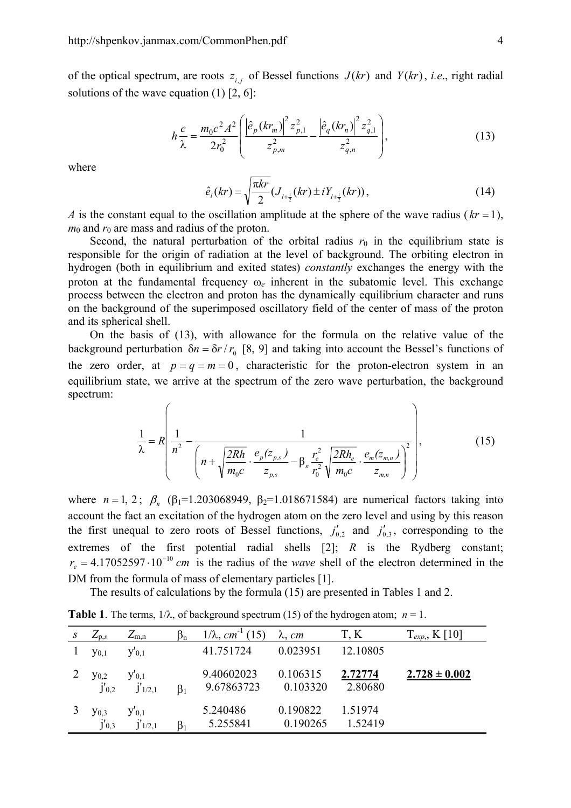of the optical spectrum, are roots  $z_{i,j}$  of Bessel functions  $J(kr)$  and  $Y(kr)$ , *i.e.*, right radial solutions of the wave equation  $(1)$  [2, 6]:

$$
h\frac{c}{\lambda} = \frac{m_0 c^2 A^2}{2r_0^2} \left( \frac{\left| \hat{e}_p (kr_m) \right|^2 z_{p,1}^2}{z_{p,m}^2} - \frac{\left| \hat{e}_q (kr_n) \right|^2 z_{q,1}^2}{z_{q,n}^2} \right),\tag{13}
$$

where

$$
\hat{e}_1(kr) = \sqrt{\frac{\pi kr}{2}} (J_{1+\frac{1}{2}}(kr) \pm iY_{1+\frac{1}{2}}(kr)),
$$
\n(14)

*A* is the constant equal to the oscillation amplitude at the sphere of the wave radius ( $kr = 1$ ),  $m_0$  and  $r_0$  are mass and radius of the proton.

Second, the natural perturbation of the orbital radius  $r_0$  in the equilibrium state is responsible for the origin of radiation at the level of background. The orbiting electron in hydrogen (both in equilibrium and exited states) *constantly* exchanges the energy with the proton at the fundamental frequency ω*e* inherent in the subatomic level. This exchange process between the electron and proton has the dynamically equilibrium character and runs on the background of the superimposed oscillatory field of the center of mass of the proton and its spherical shell.

On the basis of (13), with allowance for the formula on the relative value of the background perturbation  $\delta n = \delta r / r_0$  [8, 9] and taking into account the Bessel's functions of the zero order, at  $p = q = m = 0$ , characteristic for the proton-electron system in an equilibrium state, we arrive at the spectrum of the zero wave perturbation, the background spectrum:

$$
\frac{1}{\lambda} = R \left( \frac{1}{n^2} - \frac{1}{\left( n + \sqrt{\frac{2Rh}{m_0 c} \cdot \frac{e_p(z_{p,s})}{z_{p,s}}} - \beta_n \frac{r_e^2}{r_0^2} \sqrt{\frac{2Rh_e}{m_0 c} \cdot \frac{e_m(z_{m,n})}{z_{m,n}}} \right)^2} \right),
$$
(15)

where  $n = 1, 2$ ;  $\beta_n$  ( $\beta_1 = 1.203068949$ ,  $\beta_2 = 1.018671584$ ) are numerical factors taking into account the fact an excitation of the hydrogen atom on the zero level and using by this reason the first unequal to zero roots of Bessel functions,  $j'_{0,2}$  and  $j'_{0,3}$ , corresponding to the extremes of the first potential radial shells [2]; *R* is the Rydberg constant;  $r_e = 4.17052597 \cdot 10^{-10}$  *cm* is the radius of the *wave* shell of the electron determined in the DM from the formula of mass of elementary particles [1].

The results of calculations by the formula (15) are presented in Tables 1 and 2.

**Table 1**. The terms,  $1/\lambda$ , of background spectrum (15) of the hydrogen atom;  $n = 1$ .

| S | $Z_{p,s}$                             | $\mathcal{L}_{m,n}$       | $\beta_n$ | $1/\lambda$ , cm <sup>-1</sup> | $\lambda$ , cm       | T, K               | $T_{exp,}$ , K [10] |
|---|---------------------------------------|---------------------------|-----------|--------------------------------|----------------------|--------------------|---------------------|
|   | $y_{0,1}$                             | $y_{0,1}$                 |           | 41.751724                      | 0.023951             | 12.10805           |                     |
|   | <b>y</b> <sub>0,2</sub><br>$j'_{0,2}$ | $y_{0,1}$<br>$j'_{1/2,1}$ | $\beta_1$ | 9.40602023<br>9.67863723       | 0.106315<br>0.103320 | 2.72774<br>2.80680 | $2.728 \pm 0.002$   |
|   | <b>y</b> <sub>0,3</sub><br>$j'_{0,3}$ | $y_{0,1}$<br>1/2,1        | $\beta_1$ | 5.240486<br>5.255841           | 0.190822<br>0.190265 | 1.51974<br>1.52419 |                     |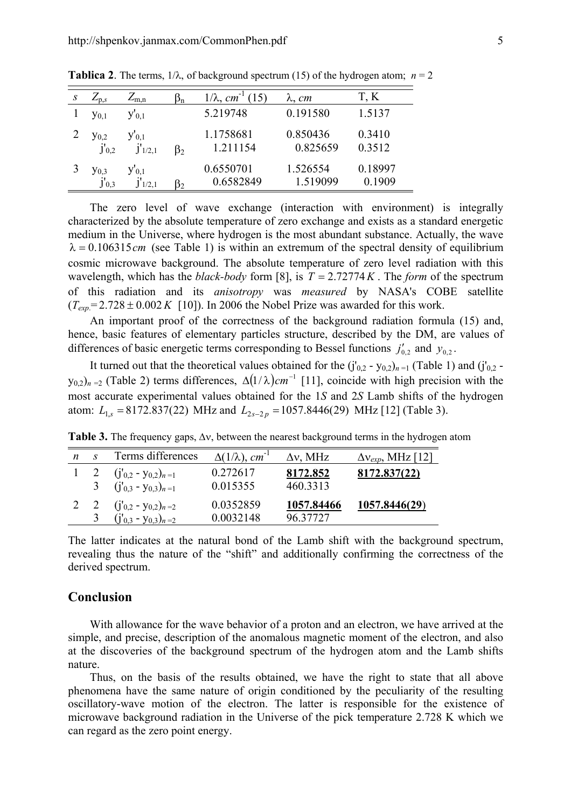| $L_{p,s}$                  | $Z_{m,n}$                          | $\beta_{n}$    | $1/\lambda$ , cm       | $\lambda$ , cm       | T, K              |
|----------------------------|------------------------------------|----------------|------------------------|----------------------|-------------------|
| $y_{0.1}$                  | $y_{0,1}$                          |                | 5.219748               | 0.191580             | 1.5137            |
| <b>y</b> 0,2<br>$j'_{0,2}$ | $y_{0,1}$<br>$J'$ <sub>1/2,1</sub> | $\beta_2$      | 1.1758681<br>1.211154  | 0.850436<br>0.825659 | 0.3410<br>0.3512  |
| Y0.3<br>$j'_{0,3}$         | $y_{0,1}$<br>1/2.1                 | B <sub>2</sub> | 0.6550701<br>0.6582849 | 1.526554<br>1.519099 | 0.18997<br>0.1909 |

**Tablica 2**. The terms,  $1/\lambda$ , of background spectrum (15) of the hydrogen atom;  $n = 2$ 

The zero level of wave exchange (interaction with environment) is integrally characterized by the absolute temperature of zero exchange and exists as a standard energetic medium in the Universe, where hydrogen is the most abundant substance. Actually, the wave  $\lambda = 0.106315$ *cm* (see Table 1) is within an extremum of the spectral density of equilibrium cosmic microwave background. The absolute temperature of zero level radiation with this wavelength, which has the *black-body* form [8], is  $T = 2.72774K$ . The *form* of the spectrum of this radiation and its *anisotropy* was *measured* by NASA's COBE satellite  $(T_{exp} = 2.728 \pm 0.002 K$  [10]). In 2006 the Nobel Prize was awarded for this work.

An important proof of the correctness of the background radiation formula (15) and, hence, basic features of elementary particles structure, described by the DM, are values of differences of basic energetic terms corresponding to Bessel functions  $j'_{0,2}$  and  $y_{0,2}$ .

It turned out that the theoretical values obtained for the  $(j'_{0,2} - y_{0,2})_{n=1}$  (Table 1) and  $(j'_{0,2}$ y<sub>0,2</sub>)<sub>n =2</sub> (Table 2) terms differences,  $\Delta(1/\lambda)$ *cm*<sup>-1</sup> [11], coincide with high precision with the most accurate experimental values obtained for the 1*S* and 2*S* Lamb shifts of the hydrogen atom:  $L_{1s} = 8172.837(22)$  MHz and  $L_{2s-2p} = 1057.8446(29)$  MHz [12] (Table 3).

|            | Terms differences              | $\Delta(1/\lambda)$ , cm <sup>-1</sup> | $\Delta v$ , MHz | $\Delta v_{exp}$ , MHz [12] |
|------------|--------------------------------|----------------------------------------|------------------|-----------------------------|
| $1\quad 2$ | $(j'_{0,2} - y_{0,2})_{n=1}$   | 0.272617                               | 8172.852         | 8172.837(22)                |
|            | 3 $(j'_{0,3} - y_{0,3})_{n=1}$ | 0.015355                               | 460.3313         |                             |
|            | $(j'_{0,2} - y_{0,2})_{n=2}$   | 0.0352859                              | 1057.84466       | 1057.8446(29)               |
| 3          | $(j'_{0,3} - y_{0,3})_{n=2}$   | 0.0032148                              | 96 37727         |                             |

**Table 3.** The frequency gaps, ∆ν, between the nearest background terms in the hydrogen atom

The latter indicates at the natural bond of the Lamb shift with the background spectrum, revealing thus the nature of the "shift" and additionally confirming the correctness of the derived spectrum.

## **Conclusion**

With allowance for the wave behavior of a proton and an electron, we have arrived at the simple, and precise, description of the anomalous magnetic moment of the electron, and also at the discoveries of the background spectrum of the hydrogen atom and the Lamb shifts nature.

Thus, on the basis of the results obtained, we have the right to state that all above phenomena have the same nature of origin conditioned by the peculiarity of the resulting oscillatory-wave motion of the electron. The latter is responsible for the existence of microwave background radiation in the Universe of the pick temperature 2.728 K which we can regard as the zero point energy.